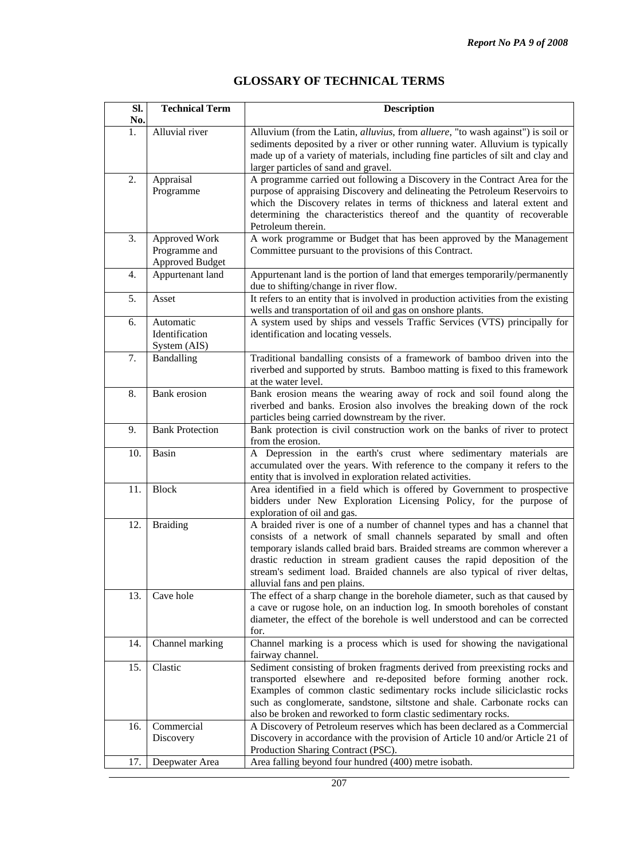|  | <b>GLOSSARY OF TECHNICAL TERMS</b> |
|--|------------------------------------|
|--|------------------------------------|

| SI.<br>No. | <b>Technical Term</b>                                    | <b>Description</b>                                                                                                                                                                                                                                                                                                                                                                                                         |
|------------|----------------------------------------------------------|----------------------------------------------------------------------------------------------------------------------------------------------------------------------------------------------------------------------------------------------------------------------------------------------------------------------------------------------------------------------------------------------------------------------------|
| 1.         | Alluvial river                                           | Alluvium (from the Latin, alluvius, from alluere, "to wash against") is soil or<br>sediments deposited by a river or other running water. Alluvium is typically<br>made up of a variety of materials, including fine particles of silt and clay and<br>larger particles of sand and gravel.                                                                                                                                |
| 2.         | Appraisal<br>Programme                                   | A programme carried out following a Discovery in the Contract Area for the<br>purpose of appraising Discovery and delineating the Petroleum Reservoirs to<br>which the Discovery relates in terms of thickness and lateral extent and<br>determining the characteristics thereof and the quantity of recoverable<br>Petroleum therein.                                                                                     |
| 3.         | Approved Work<br>Programme and<br><b>Approved Budget</b> | A work programme or Budget that has been approved by the Management<br>Committee pursuant to the provisions of this Contract.                                                                                                                                                                                                                                                                                              |
| 4.         | Appurtenant land                                         | Appurtenant land is the portion of land that emerges temporarily/permanently<br>due to shifting/change in river flow.                                                                                                                                                                                                                                                                                                      |
| 5.         | Asset                                                    | It refers to an entity that is involved in production activities from the existing<br>wells and transportation of oil and gas on onshore plants.                                                                                                                                                                                                                                                                           |
| 6.         | Automatic<br>Identification<br>System (AIS)              | A system used by ships and vessels Traffic Services (VTS) principally for<br>identification and locating vessels.                                                                                                                                                                                                                                                                                                          |
| 7.         | Bandalling                                               | Traditional bandalling consists of a framework of bamboo driven into the<br>riverbed and supported by struts. Bamboo matting is fixed to this framework<br>at the water level.                                                                                                                                                                                                                                             |
| 8.         | <b>Bank</b> erosion                                      | Bank erosion means the wearing away of rock and soil found along the<br>riverbed and banks. Erosion also involves the breaking down of the rock<br>particles being carried downstream by the river.                                                                                                                                                                                                                        |
| 9.         | <b>Bank Protection</b>                                   | Bank protection is civil construction work on the banks of river to protect<br>from the erosion.                                                                                                                                                                                                                                                                                                                           |
| 10.        | Basin                                                    | A Depression in the earth's crust where sedimentary materials are<br>accumulated over the years. With reference to the company it refers to the<br>entity that is involved in exploration related activities.                                                                                                                                                                                                              |
| 11.        | <b>Block</b>                                             | Area identified in a field which is offered by Government to prospective<br>bidders under New Exploration Licensing Policy, for the purpose of<br>exploration of oil and gas.                                                                                                                                                                                                                                              |
| 12.        | <b>Braiding</b>                                          | A braided river is one of a number of channel types and has a channel that<br>consists of a network of small channels separated by small and often<br>temporary islands called braid bars. Braided streams are common wherever a<br>drastic reduction in stream gradient causes the rapid deposition of the<br>stream's sediment load. Braided channels are also typical of river deltas,<br>alluvial fans and pen plains. |
| 13.        | Cave hole                                                | The effect of a sharp change in the borehole diameter, such as that caused by<br>a cave or rugose hole, on an induction log. In smooth boreholes of constant<br>diameter, the effect of the borehole is well understood and can be corrected<br>for.                                                                                                                                                                       |
| 14.        | Channel marking                                          | Channel marking is a process which is used for showing the navigational<br>fairway channel.                                                                                                                                                                                                                                                                                                                                |
| 15.        | Clastic                                                  | Sediment consisting of broken fragments derived from preexisting rocks and<br>transported elsewhere and re-deposited before forming another rock.<br>Examples of common clastic sedimentary rocks include siliciclastic rocks<br>such as conglomerate, sandstone, siltstone and shale. Carbonate rocks can<br>also be broken and reworked to form clastic sedimentary rocks.                                               |
| 16.        | Commercial<br>Discovery                                  | A Discovery of Petroleum reserves which has been declared as a Commercial<br>Discovery in accordance with the provision of Article 10 and/or Article 21 of<br>Production Sharing Contract (PSC).                                                                                                                                                                                                                           |
| 17.        | Deepwater Area                                           | Area falling beyond four hundred (400) metre isobath.                                                                                                                                                                                                                                                                                                                                                                      |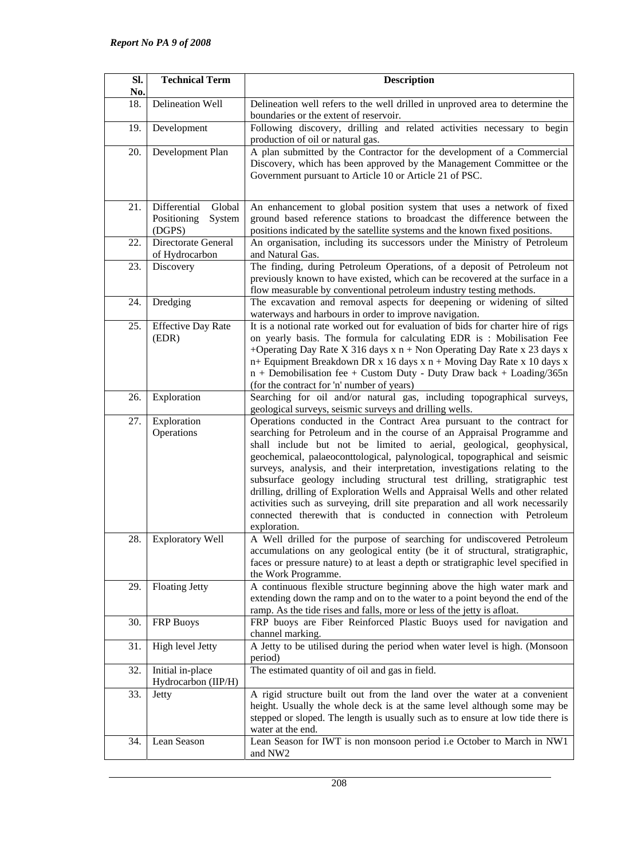| SI.<br>No. | <b>Technical Term</b>                                     | <b>Description</b>                                                                                                                                                                                                                                                                                                                                                                                                                                                                                                                                                                                                                                                                                                          |
|------------|-----------------------------------------------------------|-----------------------------------------------------------------------------------------------------------------------------------------------------------------------------------------------------------------------------------------------------------------------------------------------------------------------------------------------------------------------------------------------------------------------------------------------------------------------------------------------------------------------------------------------------------------------------------------------------------------------------------------------------------------------------------------------------------------------------|
| 18.        | Delineation Well                                          | Delineation well refers to the well drilled in unproved area to determine the<br>boundaries or the extent of reservoir.                                                                                                                                                                                                                                                                                                                                                                                                                                                                                                                                                                                                     |
| 19.        | Development                                               | Following discovery, drilling and related activities necessary to begin<br>production of oil or natural gas.                                                                                                                                                                                                                                                                                                                                                                                                                                                                                                                                                                                                                |
| 20.        | Development Plan                                          | A plan submitted by the Contractor for the development of a Commercial<br>Discovery, which has been approved by the Management Committee or the<br>Government pursuant to Article 10 or Article 21 of PSC.                                                                                                                                                                                                                                                                                                                                                                                                                                                                                                                  |
| 21.        | Differential<br>Global<br>Positioning<br>System<br>(DGPS) | An enhancement to global position system that uses a network of fixed<br>ground based reference stations to broadcast the difference between the<br>positions indicated by the satellite systems and the known fixed positions.                                                                                                                                                                                                                                                                                                                                                                                                                                                                                             |
| 22.        | Directorate General<br>of Hydrocarbon                     | An organisation, including its successors under the Ministry of Petroleum<br>and Natural Gas.                                                                                                                                                                                                                                                                                                                                                                                                                                                                                                                                                                                                                               |
| 23.        | Discovery                                                 | The finding, during Petroleum Operations, of a deposit of Petroleum not<br>previously known to have existed, which can be recovered at the surface in a<br>flow measurable by conventional petroleum industry testing methods.                                                                                                                                                                                                                                                                                                                                                                                                                                                                                              |
| 24.        | Dredging                                                  | The excavation and removal aspects for deepening or widening of silted<br>waterways and harbours in order to improve navigation.                                                                                                                                                                                                                                                                                                                                                                                                                                                                                                                                                                                            |
| 25.        | <b>Effective Day Rate</b><br>(EDR)                        | It is a notional rate worked out for evaluation of bids for charter hire of rigs<br>on yearly basis. The formula for calculating EDR is: Mobilisation Fee<br>+Operating Day Rate X 316 days $x$ n + Non Operating Day Rate x 23 days x<br>n+ Equipment Breakdown DR x 16 days x n + Moving Day Rate x 10 days x<br>n + Demobilisation fee + Custom Duty - Duty Draw back + Loading/365n<br>(for the contract for 'n' number of years)                                                                                                                                                                                                                                                                                       |
| 26.        | Exploration                                               | Searching for oil and/or natural gas, including topographical surveys,<br>geological surveys, seismic surveys and drilling wells.                                                                                                                                                                                                                                                                                                                                                                                                                                                                                                                                                                                           |
| 27.        | Exploration<br>Operations                                 | Operations conducted in the Contract Area pursuant to the contract for<br>searching for Petroleum and in the course of an Appraisal Programme and<br>shall include but not be limited to aerial, geological, geophysical,<br>geochemical, palaeoconttological, palynological, topographical and seismic<br>surveys, analysis, and their interpretation, investigations relating to the<br>subsurface geology including structural test drilling, stratigraphic test<br>drilling, drilling of Exploration Wells and Appraisal Wells and other related<br>activities such as surveying, drill site preparation and all work necessarily<br>connected therewith that is conducted in connection with Petroleum<br>exploration. |
| 28.        | <b>Exploratory Well</b>                                   | A Well drilled for the purpose of searching for undiscovered Petroleum<br>accumulations on any geological entity (be it of structural, stratigraphic,<br>faces or pressure nature) to at least a depth or stratigraphic level specified in<br>the Work Programme.                                                                                                                                                                                                                                                                                                                                                                                                                                                           |
| 29.        | <b>Floating Jetty</b>                                     | A continuous flexible structure beginning above the high water mark and<br>extending down the ramp and on to the water to a point beyond the end of the<br>ramp. As the tide rises and falls, more or less of the jetty is afloat.                                                                                                                                                                                                                                                                                                                                                                                                                                                                                          |
| 30.        | <b>FRP Buoys</b>                                          | FRP buoys are Fiber Reinforced Plastic Buoys used for navigation and<br>channel marking.                                                                                                                                                                                                                                                                                                                                                                                                                                                                                                                                                                                                                                    |
| 31.        | High level Jetty                                          | A Jetty to be utilised during the period when water level is high. (Monsoon<br>period)                                                                                                                                                                                                                                                                                                                                                                                                                                                                                                                                                                                                                                      |
| 32.        | Initial in-place<br>Hydrocarbon (IIP/H)                   | The estimated quantity of oil and gas in field.                                                                                                                                                                                                                                                                                                                                                                                                                                                                                                                                                                                                                                                                             |
| 33.        | Jetty                                                     | A rigid structure built out from the land over the water at a convenient<br>height. Usually the whole deck is at the same level although some may be<br>stepped or sloped. The length is usually such as to ensure at low tide there is<br>water at the end.                                                                                                                                                                                                                                                                                                                                                                                                                                                                |
| 34.        | Lean Season                                               | Lean Season for IWT is non monsoon period i.e October to March in NW1<br>and NW <sub>2</sub>                                                                                                                                                                                                                                                                                                                                                                                                                                                                                                                                                                                                                                |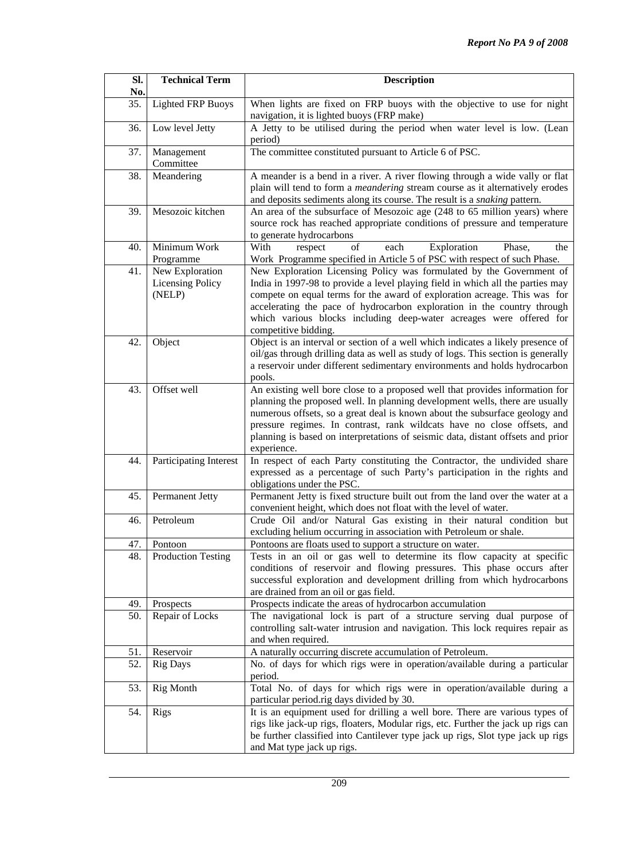| SI.<br>No. | <b>Technical Term</b>                                | <b>Description</b>                                                                                                                                                                                                                                                                                                                                                                                                       |
|------------|------------------------------------------------------|--------------------------------------------------------------------------------------------------------------------------------------------------------------------------------------------------------------------------------------------------------------------------------------------------------------------------------------------------------------------------------------------------------------------------|
| 35.        | <b>Lighted FRP Buoys</b>                             | When lights are fixed on FRP buoys with the objective to use for night<br>navigation, it is lighted buoys (FRP make)                                                                                                                                                                                                                                                                                                     |
| 36.        | Low level Jetty                                      | A Jetty to be utilised during the period when water level is low. (Lean<br>period)                                                                                                                                                                                                                                                                                                                                       |
| 37.        | Management<br>Committee                              | The committee constituted pursuant to Article 6 of PSC.                                                                                                                                                                                                                                                                                                                                                                  |
| 38.        | Meandering                                           | A meander is a bend in a river. A river flowing through a wide vally or flat<br>plain will tend to form a <i>meandering</i> stream course as it alternatively erodes<br>and deposits sediments along its course. The result is a <i>snaking</i> pattern.                                                                                                                                                                 |
| 39.        | Mesozoic kitchen                                     | An area of the subsurface of Mesozoic age (248 to 65 million years) where<br>source rock has reached appropriate conditions of pressure and temperature<br>to generate hydrocarbons                                                                                                                                                                                                                                      |
| 40.        | Minimum Work<br>Programme                            | With<br>of<br>each<br>Exploration<br>respect<br>Phase,<br>the<br>Work Programme specified in Article 5 of PSC with respect of such Phase.                                                                                                                                                                                                                                                                                |
| 41.        | New Exploration<br><b>Licensing Policy</b><br>(NELP) | New Exploration Licensing Policy was formulated by the Government of<br>India in 1997-98 to provide a level playing field in which all the parties may<br>compete on equal terms for the award of exploration acreage. This was for<br>accelerating the pace of hydrocarbon exploration in the country through<br>which various blocks including deep-water acreages were offered for<br>competitive bidding.            |
| 42.        | Object                                               | Object is an interval or section of a well which indicates a likely presence of<br>oil/gas through drilling data as well as study of logs. This section is generally<br>a reservoir under different sedimentary environments and holds hydrocarbon<br>pools.                                                                                                                                                             |
| 43.        | Offset well                                          | An existing well bore close to a proposed well that provides information for<br>planning the proposed well. In planning development wells, there are usually<br>numerous offsets, so a great deal is known about the subsurface geology and<br>pressure regimes. In contrast, rank wildcats have no close offsets, and<br>planning is based on interpretations of seismic data, distant offsets and prior<br>experience. |
| 44.        | Participating Interest                               | In respect of each Party constituting the Contractor, the undivided share<br>expressed as a percentage of such Party's participation in the rights and<br>obligations under the PSC.                                                                                                                                                                                                                                     |
| 45.        | Permanent Jetty                                      | Permanent Jetty is fixed structure built out from the land over the water at a<br>convenient height, which does not float with the level of water.                                                                                                                                                                                                                                                                       |
| 46.        | Petroleum                                            | Crude Oil and/or Natural Gas existing in their natural condition but<br>excluding helium occurring in association with Petroleum or shale.                                                                                                                                                                                                                                                                               |
| 47.        | Pontoon                                              | Pontoons are floats used to support a structure on water.                                                                                                                                                                                                                                                                                                                                                                |
| 48.        | <b>Production Testing</b>                            | Tests in an oil or gas well to determine its flow capacity at specific<br>conditions of reservoir and flowing pressures. This phase occurs after<br>successful exploration and development drilling from which hydrocarbons<br>are drained from an oil or gas field.                                                                                                                                                     |
| 49.        | Prospects                                            | Prospects indicate the areas of hydrocarbon accumulation                                                                                                                                                                                                                                                                                                                                                                 |
| 50.        | Repair of Locks                                      | The navigational lock is part of a structure serving dual purpose of<br>controlling salt-water intrusion and navigation. This lock requires repair as<br>and when required.                                                                                                                                                                                                                                              |
| 51.        | Reservoir                                            | A naturally occurring discrete accumulation of Petroleum.                                                                                                                                                                                                                                                                                                                                                                |
| 52.        | <b>Rig Days</b>                                      | No. of days for which rigs were in operation/available during a particular<br>period.                                                                                                                                                                                                                                                                                                                                    |
| 53.        | <b>Rig Month</b>                                     | Total No. of days for which rigs were in operation/available during a<br>particular period.rig days divided by 30.                                                                                                                                                                                                                                                                                                       |
| 54.        | Rigs                                                 | It is an equipment used for drilling a well bore. There are various types of<br>rigs like jack-up rigs, floaters, Modular rigs, etc. Further the jack up rigs can<br>be further classified into Cantilever type jack up rigs, Slot type jack up rigs<br>and Mat type jack up rigs.                                                                                                                                       |